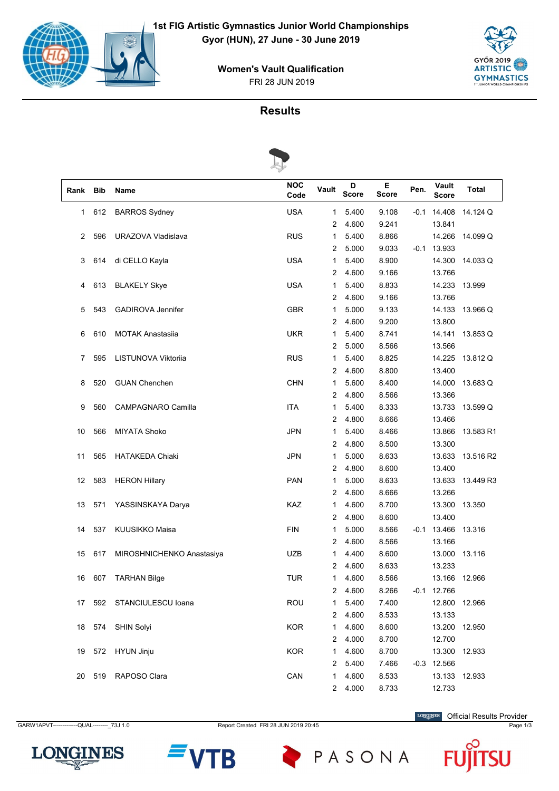

FRI 28 JUN 2019 **Women's Vault Qualification**



# **Results**



| Rank | <b>Bib</b> | Name                      | <b>NOC</b><br>Code | Vault          | D<br><b>Score</b> | Е<br><b>Score</b> | Pen. | Vault<br>Score | Total     |
|------|------------|---------------------------|--------------------|----------------|-------------------|-------------------|------|----------------|-----------|
| 1    | 612        | <b>BARROS Sydney</b>      | <b>USA</b>         | 1              | 5.400             | 9.108             |      | $-0.1$ 14.408  | 14.124 Q  |
|      |            |                           |                    | 2              | 4.600             | 9.241             |      | 13.841         |           |
| 2    | 596        | URAZOVA Vladislava        | <b>RUS</b>         | 1              | 5.400             | 8.866             |      | 14.266         | 14.099 Q  |
|      |            |                           |                    | 2              | 5.000             | 9.033             | -0.1 | 13.933         |           |
| 3    | 614        | di CELLO Kayla            | <b>USA</b>         | 1              | 5.400             | 8.900             |      | 14.300         | 14.033 Q  |
|      |            |                           |                    | 2              | 4.600             | 9.166             |      | 13.766         |           |
| 4    | 613        | <b>BLAKELY Skye</b>       | <b>USA</b>         | 1              | 5.400             | 8.833             |      | 14.233         | 13.999    |
|      |            |                           |                    | 2              | 4.600             | 9.166             |      | 13.766         |           |
| 5    | 543        | <b>GADIROVA Jennifer</b>  | <b>GBR</b>         | 1              | 5.000             | 9.133             |      | 14.133         | 13.966 Q  |
|      |            |                           |                    | 2              | 4.600             | 9.200             |      | 13.800         |           |
| 6    | 610        | <b>MOTAK Anastasiia</b>   | <b>UKR</b>         | 1              | 5.400             | 8.741             |      | 14.141         | 13.853 Q  |
|      |            |                           |                    | 2              | 5.000             | 8.566             |      | 13.566         |           |
| 7    | 595        | LISTUNOVA Viktoriia       | <b>RUS</b>         | 1              | 5.400             | 8.825             |      | 14.225         | 13.812 Q  |
|      |            |                           |                    | 2              | 4.600             | 8.800             |      | 13.400         |           |
| 8    | 520        | <b>GUAN Chenchen</b>      | <b>CHN</b>         | 1              | 5.600             | 8.400             |      | 14.000         | 13.683 Q  |
|      |            |                           |                    | 2              | 4.800             | 8.566             |      | 13.366         |           |
| 9    | 560        | CAMPAGNARO Camilla        | <b>ITA</b>         | 1              | 5.400             | 8.333             |      | 13.733         | 13.599 Q  |
|      |            |                           |                    | 2              | 4.800             | 8.666             |      | 13.466         |           |
| 10   | 566        | <b>MIYATA Shoko</b>       | <b>JPN</b>         | 1              | 5.400             | 8.466             |      | 13.866         | 13.583 R1 |
|      |            |                           |                    | $\overline{c}$ | 4.800             | 8.500             |      | 13.300         |           |
| 11   | 565        | <b>HATAKEDA Chiaki</b>    | <b>JPN</b>         | 1              | 5.000             | 8.633             |      | 13.633         | 13.516 R2 |
|      |            |                           |                    | 2              | 4.800             | 8.600             |      | 13.400         |           |
| 12   | 583        | <b>HERON Hillary</b>      | PAN                | 1              | 5.000             | 8.633             |      | 13.633         | 13.449 R3 |
|      |            |                           |                    | 2              | 4.600             | 8.666             |      | 13.266         |           |
| 13   | 571        | YASSINSKAYA Darya         | KAZ                | 1              | 4.600             | 8.700             |      | 13.300         | 13.350    |
|      |            |                           |                    | 2              | 4.800             | 8.600             |      | 13.400         |           |
| 14   | 537        | KUUSIKKO Maisa            | FIN                | 1              | 5.000             | 8.566             | -0.1 | 13.466         | 13.316    |
|      |            |                           |                    | 2              | 4.600             | 8.566             |      | 13.166         |           |
| 15   | 617        | MIROSHNICHENKO Anastasiya | <b>UZB</b>         | 1              | 4.400             | 8.600             |      | 13.000         | 13.116    |
|      |            |                           |                    | 2              | 4.600             | 8.633             |      | 13.233         |           |
| 16   | 607        | <b>TARHAN Bilge</b>       | <b>TUR</b>         | 1              | 4.600             | 8.566             |      | 13.166         | 12.966    |
|      |            |                           |                    | 2              | 4.600             | 8.266             | -0.1 | 12.766         |           |
| 17   | 592        | STANCIULESCU Ioana        | <b>ROU</b>         | 1              | 5.400             | 7.400             |      | 12.800         | 12.966    |
|      |            |                           |                    | 2              | 4.600             | 8.533             |      | 13.133         |           |
| 18   | 574        | <b>SHIN Solyi</b>         | <b>KOR</b>         | 1              | 4.600             | 8.600             |      | 13.200         | 12.950    |
|      |            |                           |                    | 2              | 4.000             | 8.700             |      | 12.700         |           |
| 19   | 572        | HYUN Jinju                | <b>KOR</b>         | 1              | 4.600             | 8.700             |      | 13.300         | 12.933    |
|      |            |                           |                    | $\overline{c}$ | 5.400             | 7.466             |      | $-0.3$ 12.566  |           |
| 20   | 519        | RAPOSO Clara              | CAN                | 1              | 4.600             | 8.533             |      | 13.133         | 12.933    |
|      |            |                           |                    | $\overline{2}$ | 4.000             | 8.733             |      | 12.733         |           |

GARW1APVT------------QUAL---------\_73J 1.0 Report Created FRI 28 JUN 2019 20:45 Page 1/3 Page 1/3

Official Results Provider





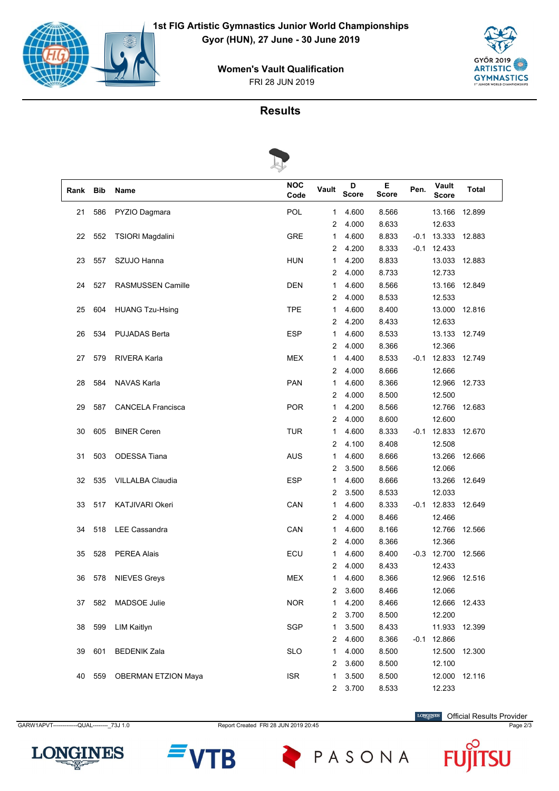

FRI 28 JUN 2019 **Women's Vault Qualification**



# **Results**



| Rank | <b>Bib</b> | Name                       | <b>NOC</b><br>Code | Vault          | D<br><b>Score</b> | Е<br><b>Score</b> | Pen.   | <b>Vault</b><br>Score | Total  |
|------|------------|----------------------------|--------------------|----------------|-------------------|-------------------|--------|-----------------------|--------|
| 21   | 586        | PYZIO Dagmara              | POL                | 1              | 4.600             | 8.566             |        | 13.166                | 12.899 |
|      |            |                            |                    | 2              | 4.000             | 8.633             |        | 12.633                |        |
| 22   | 552        | TSIORI Magdalini           | <b>GRE</b>         | 1              | 4.600             | 8.833             | $-0.1$ | 13.333                | 12.883 |
|      |            |                            |                    | 2              | 4.200             | 8.333             | $-0.1$ | 12.433                |        |
| 23   | 557        | SZUJO Hanna                | <b>HUN</b>         | 1              | 4.200             | 8.833             |        | 13.033                | 12.883 |
|      |            |                            |                    | 2              | 4.000             | 8.733             |        | 12.733                |        |
| 24   | 527        | RASMUSSEN Camille          | <b>DEN</b>         | 1              | 4.600             | 8.566             |        | 13.166                | 12.849 |
|      |            |                            |                    | 2              | 4.000             | 8.533             |        | 12.533                |        |
| 25   | 604        | <b>HUANG Tzu-Hsing</b>     | <b>TPE</b>         | 1              | 4.600             | 8.400             |        | 13.000                | 12.816 |
|      |            |                            |                    | 2              | 4.200             | 8.433             |        | 12.633                |        |
| 26   | 534        | <b>PUJADAS Berta</b>       | <b>ESP</b>         | 1              | 4.600             | 8.533             |        | 13.133                | 12.749 |
|      |            |                            |                    | 2              | 4.000             | 8.366             |        | 12.366                |        |
| 27   | 579        | RIVERA Karla               | <b>MEX</b>         | 1              | 4.400             | 8.533             | -0.1   | 12.833                | 12.749 |
|      |            |                            |                    | 2              | 4.000             | 8.666             |        | 12.666                |        |
| 28   | 584        | <b>NAVAS Karla</b>         | <b>PAN</b>         | 1              | 4.600             | 8.366             |        | 12.966                | 12.733 |
|      |            |                            |                    | $\overline{2}$ | 4.000             | 8.500             |        | 12.500                |        |
| 29   | 587        | <b>CANCELA Francisca</b>   | <b>POR</b>         | 1              | 4.200             | 8.566             |        | 12.766                | 12.683 |
|      |            |                            |                    | 2              | 4.000             | 8.600             |        | 12.600                |        |
| 30   | 605        | <b>BINER Ceren</b>         | <b>TUR</b>         | 1              | 4.600             | 8.333             | -0.1   | 12.833                | 12.670 |
|      |            |                            |                    | 2              | 4.100             | 8.408             |        | 12.508                |        |
| 31   | 503        | <b>ODESSA Tiana</b>        | <b>AUS</b>         | 1              | 4.600             | 8.666             |        | 13.266                | 12.666 |
|      |            |                            |                    | 2              | 3.500             | 8.566             |        | 12.066                |        |
| 32   | 535        | VILLALBA Claudia           | <b>ESP</b>         | 1              | 4.600             | 8.666             |        | 13.266                | 12.649 |
|      |            |                            |                    | 2              | 3.500             | 8.533             |        | 12.033                |        |
| 33   | 517        | <b>KATJIVARI Okeri</b>     | CAN                | 1              | 4.600             | 8.333             | -0.1   | 12.833                | 12.649 |
|      |            |                            |                    | 2              | 4.000             | 8.466             |        | 12.466                |        |
| 34   | 518        | <b>LEE Cassandra</b>       | CAN                | 1              | 4.600             | 8.166             |        | 12.766                | 12.566 |
|      |            |                            |                    | 2              | 4.000             | 8.366             |        | 12.366                |        |
| 35   | 528        | <b>PEREA Alais</b>         | ECU                | 1              | 4.600             | 8.400             |        | $-0.3$ 12.700         | 12.566 |
|      |            |                            |                    | 2              | 4.000             | 8.433             |        | 12.433                |        |
| 36   | 578        | <b>NIEVES Greys</b>        | <b>MEX</b>         | 1              | 4.600             | 8.366             |        | 12.966                | 12.516 |
|      |            |                            |                    | 2              | 3.600             | 8.466             |        | 12.066                |        |
| 37   | 582        | MADSOE Julie               | <b>NOR</b>         | 1              | 4.200             | 8.466             |        | 12.666                | 12.433 |
|      |            |                            |                    | 2              | 3.700             | 8.500             |        | 12.200                |        |
| 38   | 599        | <b>LIM Kaitlyn</b>         | SGP                | $\mathbf{1}$   | 3.500             | 8.433             |        | 11.933                | 12.399 |
|      |            |                            |                    | 2              | 4.600             | 8.366             |        | $-0.1$ 12.866         |        |
| 39   | 601        | <b>BEDENIK Zala</b>        | <b>SLO</b>         | 1              | 4.000             | 8.500             |        | 12.500                | 12.300 |
|      |            |                            |                    | 2              | 3.600             | 8.500             |        | 12.100                |        |
| 40   | 559        | <b>OBERMAN ETZION Maya</b> | <b>ISR</b>         | 1              | 3.500             | 8.500             |        | 12.000                | 12.116 |
|      |            |                            |                    | $2^{\circ}$    | 3.700             | 8.533             |        | 12.233                |        |

GARW1APVT------------QUAL---------- 73J 1.0 Report Created FRI 28 JUN 2019 20:45 Page 2/3

**LONGINES** Official Results Provider





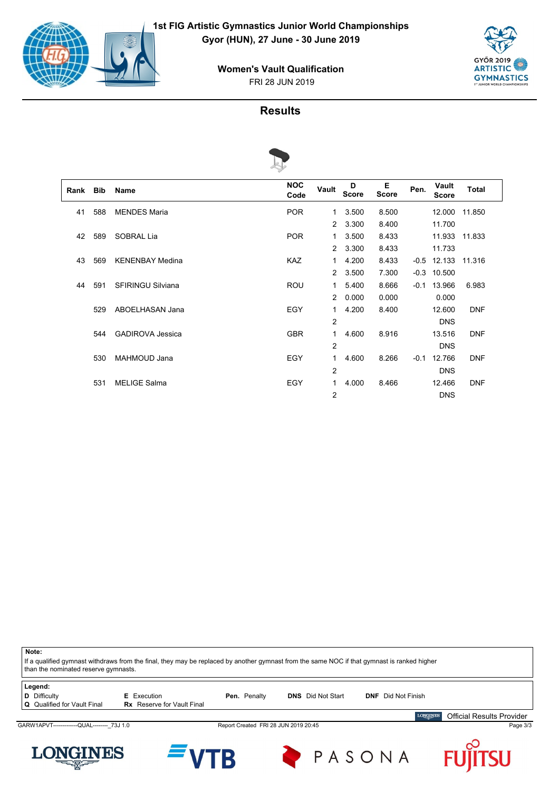

FRI 28 JUN 2019 **Women's Vault Qualification**



U

## **Results**



| Rank | <b>Bib</b> | <b>Name</b>              | <b>NOC</b><br>Code | Vault          | D<br><b>Score</b> | Е<br><b>Score</b> | Pen.   | Vault<br><b>Score</b> | <b>Total</b> |  |
|------|------------|--------------------------|--------------------|----------------|-------------------|-------------------|--------|-----------------------|--------------|--|
| 41   | 588        | <b>MENDES Maria</b>      | <b>POR</b>         | $\mathbf{1}$   | 3.500             | 8.500             |        | 12.000                | 11.850       |  |
|      |            |                          |                    | $\mathcal{P}$  | 3.300             | 8.400             |        | 11.700                |              |  |
| 42   | 589        | SOBRAL Lia               | <b>POR</b>         | $\mathbf{1}$   | 3.500             | 8.433             |        | 11.933                | 11.833       |  |
|      |            |                          |                    | $\mathcal{P}$  | 3.300             | 8.433             |        | 11.733                |              |  |
| 43   | 569        | <b>KENENBAY Medina</b>   | <b>KAZ</b>         | 1              | 4.200             | 8.433             | $-0.5$ | 12.133                | 11.316       |  |
|      |            |                          |                    | $\mathcal{P}$  | 3.500             | 7.300             | $-0.3$ | 10.500                |              |  |
| 44   | 591        | <b>SFIRINGU Silviana</b> | <b>ROU</b>         | $\mathbf{1}$   | 5.400             | 8.666             | $-0.1$ | 13.966                | 6.983        |  |
|      |            |                          |                    | $\mathcal{P}$  | 0.000             | 0.000             |        | 0.000                 |              |  |
|      | 529        | ABOELHASAN Jana          | EGY                | 1              | 4.200             | 8.400             |        | 12.600                | <b>DNF</b>   |  |
|      |            |                          |                    | $\overline{2}$ |                   |                   |        | <b>DNS</b>            |              |  |
|      | 544        | <b>GADIROVA Jessica</b>  | <b>GBR</b>         | 1              | 4.600             | 8.916             |        | 13.516                | <b>DNF</b>   |  |
|      |            |                          |                    | $\overline{2}$ |                   |                   |        | <b>DNS</b>            |              |  |
|      | 530        | <b>MAHMOUD Jana</b>      | EGY                | 1              | 4.600             | 8.266             | $-0.1$ | 12.766                | <b>DNF</b>   |  |
|      |            |                          |                    | 2              |                   |                   |        | <b>DNS</b>            |              |  |
|      | 531        | <b>MELIGE Salma</b>      | EGY                | 1              | 4.000             | 8.466             |        | 12.466                | <b>DNF</b>   |  |
|      |            |                          |                    | $\overline{c}$ |                   |                   |        | <b>DNS</b>            |              |  |

If a qualified gymnast withdraws from the final, they may be replaced by another gymnast from the same NOC if that gymnast is ranked higher than the nominated reserve gymnasts. **Legend: D** Difficulty **E** Execution **Pen.** Penalty **DNS** Did Not Start **DNF** Did Not Finish **Q** Qualified for Vault Final **Rx** Reserve for Vault Final **LONGINES** Official Results Provider GARW1APVT------------QUAL---------\_73J 1.0 Report Created FRI 28 JUN 2019 20:45 Page 3/3



**Note:**



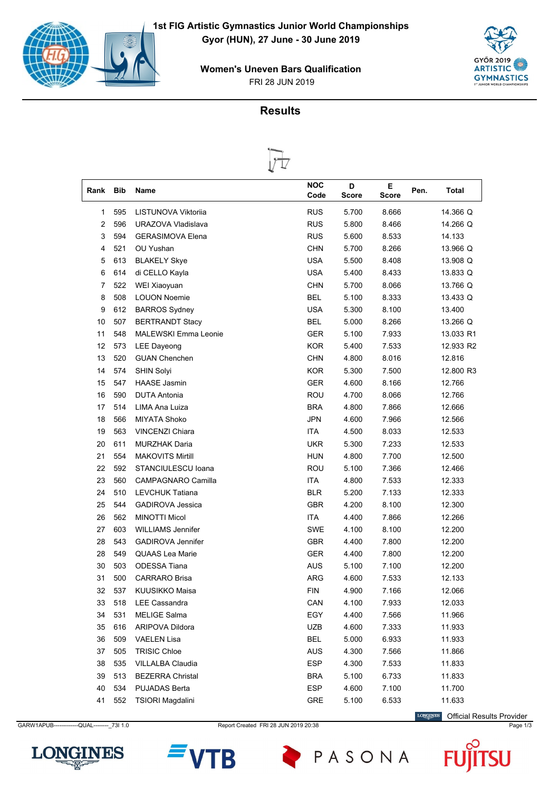







|                |            | ∾                           |                    |                   |                   |      |           |
|----------------|------------|-----------------------------|--------------------|-------------------|-------------------|------|-----------|
| Rank           | <b>Bib</b> | Name                        | <b>NOC</b><br>Code | D<br><b>Score</b> | Е<br><b>Score</b> | Pen. | Total     |
| 1              | 595        | LISTUNOVA Viktorija         | <b>RUS</b>         | 5.700             | 8.666             |      | 14.366 Q  |
| $\overline{2}$ | 596        | URAZOVA Vladislava          | <b>RUS</b>         | 5.800             | 8.466             |      | 14.266 Q  |
| 3              | 594        | <b>GERASIMOVA Elena</b>     | <b>RUS</b>         | 5.600             | 8.533             |      | 14.133    |
| 4              | 521        | OU Yushan                   | <b>CHN</b>         | 5.700             | 8.266             |      | 13.966 Q  |
| 5              | 613        | <b>BLAKELY Skye</b>         | <b>USA</b>         | 5.500             | 8.408             |      | 13.908 Q  |
| 6              | 614        | di CELLO Kayla              | <b>USA</b>         | 5.400             | 8.433             |      | 13.833 Q  |
| 7              | 522        | WEI Xiaoyuan                | <b>CHN</b>         | 5.700             | 8.066             |      | 13.766 Q  |
| 8              | 508        | <b>LOUON Noemie</b>         | <b>BEL</b>         | 5.100             | 8.333             |      | 13.433 Q  |
| 9              | 612        | <b>BARROS Sydney</b>        | <b>USA</b>         | 5.300             | 8.100             |      | 13.400    |
| 10             | 507        | <b>BERTRANDT Stacy</b>      | <b>BEL</b>         | 5.000             | 8.266             |      | 13.266 Q  |
| 11             | 548        | <b>MALEWSKI Emma Leonie</b> | <b>GER</b>         | 5.100             | 7.933             |      | 13.033 R1 |
| 12             | 573        | <b>LEE Dayeong</b>          | <b>KOR</b>         | 5.400             | 7.533             |      | 12.933 R2 |
| 13             | 520        | <b>GUAN Chenchen</b>        | <b>CHN</b>         | 4.800             | 8.016             |      | 12.816    |
| 14             | 574        | <b>SHIN Solyi</b>           | <b>KOR</b>         | 5.300             | 7.500             |      | 12.800 R3 |
| 15             | 547        | <b>HAASE Jasmin</b>         | <b>GER</b>         | 4.600             | 8.166             |      | 12.766    |
| 16             | 590        | <b>DUTA Antonia</b>         | ROU                | 4.700             | 8.066             |      | 12.766    |
| 17             | 514        | <b>LIMA Ana Luiza</b>       | <b>BRA</b>         | 4.800             | 7.866             |      | 12.666    |
| 18             | 566        | <b>MIYATA Shoko</b>         | <b>JPN</b>         | 4.600             | 7.966             |      | 12.566    |
| 19             | 563        | <b>VINCENZI Chiara</b>      | <b>ITA</b>         | 4.500             | 8.033             |      | 12.533    |
| 20             | 611        | <b>MURZHAK Daria</b>        | <b>UKR</b>         | 5.300             | 7.233             |      | 12.533    |
| 21             | 554        | <b>MAKOVITS Mirtill</b>     | <b>HUN</b>         | 4.800             | 7.700             |      | 12.500    |
| 22             | 592        | STANCIULESCU Ioana          | ROU                | 5.100             | 7.366             |      | 12.466    |
| 23             | 560        | CAMPAGNARO Camilla          | ITA                | 4.800             | 7.533             |      | 12.333    |
| 24             | 510        | <b>LEVCHUK Tatiana</b>      | <b>BLR</b>         | 5.200             | 7.133             |      | 12.333    |
| 25             | 544        | <b>GADIROVA Jessica</b>     | <b>GBR</b>         | 4.200             | 8.100             |      | 12.300    |
| 26             | 562        | <b>MINOTTI Micol</b>        | <b>ITA</b>         | 4.400             | 7.866             |      | 12.266    |
| 27             | 603        | <b>WILLIAMS Jennifer</b>    | SWE                | 4.100             | 8.100             |      | 12.200    |
| 28             | 543        | <b>GADIROVA Jennifer</b>    | <b>GBR</b>         | 4.400             | 7.800             |      | 12.200    |
| 28             | 549        | <b>QUAAS Lea Marie</b>      | <b>GER</b>         | 4.400             | 7.800             |      | 12.200    |
| 30             | 503        | <b>ODESSA Tiana</b>         | <b>AUS</b>         | 5.100             | 7.100             |      | 12.200    |
| 31             | 500        | <b>CARRARO Brisa</b>        | <b>ARG</b>         | 4.600             | 7.533             |      | 12.133    |
| 32             | 537        | KUUSIKKO Maisa              | <b>FIN</b>         | 4.900             | 7.166             |      | 12.066    |
| 33             | 518        | LEE Cassandra               | CAN                | 4.100             | 7.933             |      | 12.033    |
| 34             | 531        | <b>MELIGE Salma</b>         | EGY                | 4.400             | 7.566             |      | 11.966    |
| 35             | 616        | ARIPOVA Dildora             | UZB                | 4.600             | 7.333             |      | 11.933    |
| 36             | 509        | VAELEN Lisa                 | <b>BEL</b>         | 5.000             | 6.933             |      | 11.933    |
| 37             | 505        | <b>TRISIC Chloe</b>         | <b>AUS</b>         | 4.300             | 7.566             |      | 11.866    |
| 38             | 535        | VILLALBA Claudia            | <b>ESP</b>         | 4.300             | 7.533             |      | 11.833    |
| 39             | 513        | <b>BEZERRA Christal</b>     | <b>BRA</b>         | 5.100             | 6.733             |      | 11.833    |
| 40             | 534        | <b>PUJADAS Berta</b>        | ESP                | 4.600             | 7.100             |      | 11.700    |
| 41             | 552        | TSIORI Magdalini            | GRE                | 5.100             | 6.533             |      | 11.633    |
|                |            |                             |                    |                   |                   |      |           |

GARW1APUB-------------QUAL---------\_73I 1.0 Report Created FRI 28 JUN 2019 20:38 Page 1/3 Page 1/3

LONGINES Official Results Provider





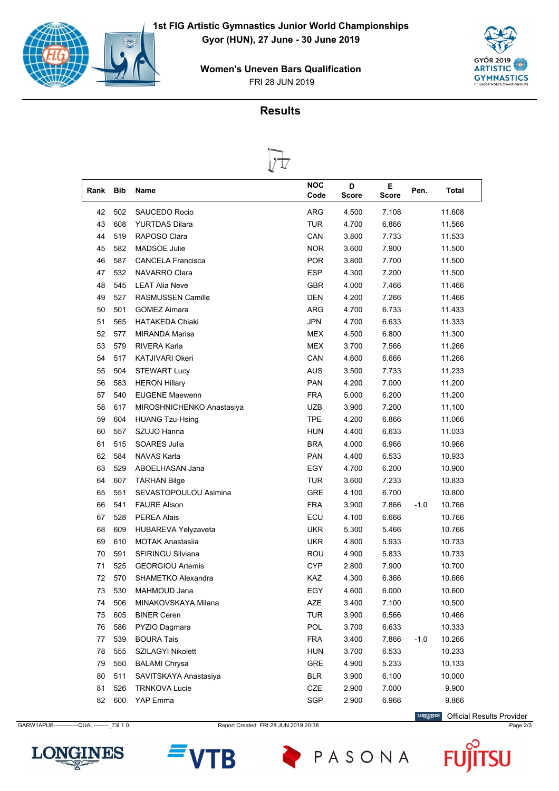







| Rank | <b>Bib</b> | Name                      | <b>NOC</b><br>Code | D<br><b>Score</b> | Е<br>Score | Pen.   | Total  |
|------|------------|---------------------------|--------------------|-------------------|------------|--------|--------|
| 42   | 502        | <b>SAUCEDO Rocio</b>      | ARG                | 4.500             | 7.108      |        | 11.608 |
| 43   | 608        | <b>YURTDAS Dilara</b>     | <b>TUR</b>         | 4.700             | 6.866      |        | 11.566 |
| 44   | 519        | RAPOSO Clara              | CAN                | 3.800             | 7.733      |        | 11.533 |
| 45   | 582        | <b>MADSOE Julie</b>       | <b>NOR</b>         | 3.600             | 7.900      |        | 11.500 |
| 46   | 587        | <b>CANCELA Francisca</b>  | <b>POR</b>         | 3.800             | 7.700      |        | 11.500 |
| 47   | 532        | NAVARRO Clara             | <b>ESP</b>         | 4.300             | 7.200      |        | 11.500 |
| 48   | 545        | <b>LEAT Alia Neve</b>     | <b>GBR</b>         | 4.000             | 7.466      |        | 11.466 |
| 49   | 527        | RASMUSSEN Camille         | <b>DEN</b>         | 4.200             | 7.266      |        | 11.466 |
| 50   | 501        | <b>GOMEZ Aimara</b>       | <b>ARG</b>         | 4.700             | 6.733      |        | 11.433 |
| 51   | 565        | <b>HATAKEDA Chiaki</b>    | <b>JPN</b>         | 4.700             | 6.633      |        | 11.333 |
| 52   | 577        | <b>MIRANDA Marisa</b>     | <b>MEX</b>         | 4.500             | 6.800      |        | 11.300 |
| 53   | 579        | <b>RIVERA Karla</b>       | <b>MEX</b>         | 3.700             | 7.566      |        | 11.266 |
| 54   | 517        | <b>KATJIVARI Okeri</b>    | CAN                | 4.600             | 6.666      |        | 11.266 |
| 55   | 504        | <b>STEWART Lucy</b>       | <b>AUS</b>         | 3.500             | 7.733      |        | 11.233 |
| 56   | 583        | <b>HERON Hillary</b>      | <b>PAN</b>         | 4.200             | 7.000      |        | 11.200 |
| 57   | 540        | <b>EUGENE Maewenn</b>     | <b>FRA</b>         | 5.000             | 6.200      |        | 11.200 |
| 58   | 617        | MIROSHNICHENKO Anastasiya | <b>UZB</b>         | 3.900             | 7.200      |        | 11.100 |
| 59   | 604        | <b>HUANG Tzu-Hsing</b>    | <b>TPE</b>         | 4.200             | 6.866      |        | 11.066 |
| 60   | 557        | SZUJO Hanna               | <b>HUN</b>         | 4.400             | 6.633      |        | 11.033 |
| 61   | 515        | SOARES Julia              | <b>BRA</b>         | 4.000             | 6.966      |        | 10.966 |
| 62   | 584        | <b>NAVAS Karla</b>        | <b>PAN</b>         | 4.400             | 6.533      |        | 10.933 |
| 63   | 529        | ABOELHASAN Jana           | EGY                | 4.700             | 6.200      |        | 10.900 |
| 64   | 607        | <b>TARHAN Bilge</b>       | <b>TUR</b>         | 3.600             | 7.233      |        | 10.833 |
| 65   | 551        | SEVASTOPOULOU Asimina     | <b>GRE</b>         | 4.100             | 6.700      |        | 10.800 |
| 66   | 541        | <b>FAURE Alison</b>       | <b>FRA</b>         | 3.900             | 7.866      | $-1.0$ | 10.766 |
| 67   | 528        | <b>PEREA Alais</b>        | ECU                | 4.100             | 6.666      |        | 10.766 |
| 68   | 609        | HUBAREVA Yelyzaveta       | UKR.               | 5.300             | 5.466      |        | 10.766 |
| 69   | 610        | <b>MOTAK Anastasija</b>   | <b>UKR</b>         | 4.800             | 5.933      |        | 10.733 |
| 70   | 591        | <b>SFIRINGU Silviana</b>  | <b>ROU</b>         | 4.900             | 5.833      |        | 10.733 |
| 71   | 525        | <b>GEORGIOU Artemis</b>   | CYP                | 2.800             | 7.900      |        | 10.700 |
| 72   | 570        | SHAMETKO Alexandra        | KAZ                | 4.300             | 6.366      |        | 10.666 |
| 73   | 530        | MAHMOUD Jana              | EGY                | 4.600             | 6.000      |        | 10.600 |
| 74   | 506        | MINAKOVSKAYA Milana       | AZE                | 3.400             | 7.100      |        | 10.500 |
| 75   | 605        | <b>BINER Ceren</b>        | <b>TUR</b>         | 3.900             | 6.566      |        | 10.466 |
| 76   | 586        | PYZIO Dagmara             | POL                | 3.700             | 6.633      |        | 10.333 |
| 77   | 539        | <b>BOURA Tais</b>         | <b>FRA</b>         | 3.400             | 7.866      | -1.0   | 10.266 |
| 78   | 555        | SZILAGYI Nikolett         | <b>HUN</b>         | 3.700             | 6.533      |        | 10.233 |
| 79   | 550        | <b>BALAMI Chrysa</b>      | GRE                | 4.900             | 5.233      |        | 10.133 |
| 80   | 511        | SAVITSKAYA Anastasiya     | <b>BLR</b>         | 3.900             | 6.100      |        | 10.000 |
| 81   | 526        | <b>TRNKOVA Lucie</b>      | CZE                | 2.900             | 7.000      |        | 9.900  |
| 82   | 600        | YAP Emma                  | SGP                | 2.900             | 6.966      |        | 9.866  |

GARW1APUB------------QUAL---------\_73I 1.0 Report Created FRI 28 JUN 2019 20:38 Page 2/3

LONGINES Official Results Provider





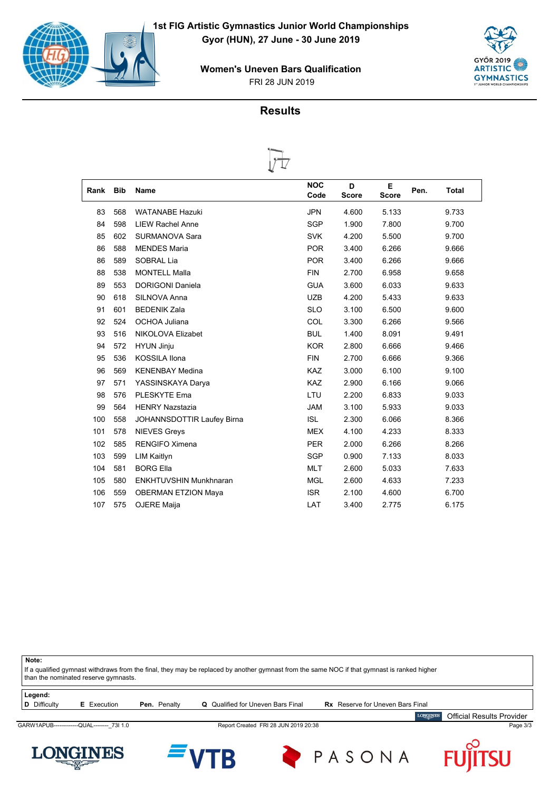







| Rank | <b>Bib</b> | Name                       | <b>NOC</b><br>Code | D<br><b>Score</b> | E<br><b>Score</b> | Pen.<br><b>Total</b> |
|------|------------|----------------------------|--------------------|-------------------|-------------------|----------------------|
|      |            |                            |                    |                   |                   |                      |
| 83   | 568        | <b>WATANABE Hazuki</b>     | <b>JPN</b>         | 4.600             | 5.133             | 9.733                |
| 84   | 598        | <b>LIEW Rachel Anne</b>    | <b>SGP</b>         | 1.900             | 7.800             | 9.700                |
| 85   | 602        | SURMANOVA Sara             | <b>SVK</b>         | 4.200             | 5.500             | 9.700                |
| 86   | 588        | <b>MENDES Maria</b>        | <b>POR</b>         | 3.400             | 6.266             | 9.666                |
| 86   | 589        | SOBRAL Lia                 | <b>POR</b>         | 3.400             | 6.266             | 9.666                |
| 88   | 538        | <b>MONTELL Malla</b>       | <b>FIN</b>         | 2.700             | 6.958             | 9.658                |
| 89   | 553        | <b>DORIGONI Daniela</b>    | <b>GUA</b>         | 3.600             | 6.033             | 9.633                |
| 90   | 618        | SILNOVA Anna               | <b>UZB</b>         | 4.200             | 5.433             | 9.633                |
| 91   | 601        | <b>BEDENIK Zala</b>        | <b>SLO</b>         | 3.100             | 6.500             | 9.600                |
| 92   | 524        | OCHOA Juliana              | <b>COL</b>         | 3.300             | 6.266             | 9.566                |
| 93   | 516        | NIKOLOVA Elizabet          | <b>BUL</b>         | 1.400             | 8.091             | 9.491                |
| 94   | 572        | <b>HYUN Jinju</b>          | <b>KOR</b>         | 2.800             | 6.666             | 9.466                |
| 95   | 536        | <b>KOSSILA Ilona</b>       | <b>FIN</b>         | 2.700             | 6.666             | 9.366                |
| 96   | 569        | <b>KENENBAY Medina</b>     | <b>KAZ</b>         | 3.000             | 6.100             | 9.100                |
| 97   | 571        | YASSINSKAYA Darya          | <b>KAZ</b>         | 2.900             | 6.166             | 9.066                |
| 98   | 576        | PLESKYTE Ema               | LTU                | 2.200             | 6.833             | 9.033                |
| 99   | 564        | <b>HENRY Nazstazia</b>     | <b>JAM</b>         | 3.100             | 5.933             | 9.033                |
| 100  | 558        | JOHANNSDOTTIR Laufey Birna | <b>ISL</b>         | 2.300             | 6.066             | 8.366                |
| 101  | 578        | <b>NIEVES Greys</b>        | <b>MEX</b>         | 4.100             | 4.233             | 8.333                |
| 102  | 585        | <b>RENGIFO Ximena</b>      | <b>PER</b>         | 2.000             | 6.266             | 8.266                |
| 103  | 599        | <b>LIM Kaitlyn</b>         | <b>SGP</b>         | 0.900             | 7.133             | 8.033                |
| 104  | 581        | <b>BORG Ella</b>           | <b>MLT</b>         | 2.600             | 5.033             | 7.633                |
| 105  | 580        | ENKHTUVSHIN Munkhnaran     | <b>MGL</b>         | 2.600             | 4.633             | 7.233                |
| 106  | 559        | <b>OBERMAN ETZION Maya</b> | <b>ISR</b>         | 2.100             | 4.600             | 6.700                |
| 107  | 575        | OJERE Maija                | LAT                | 3.400             | 2.775             | 6.175                |

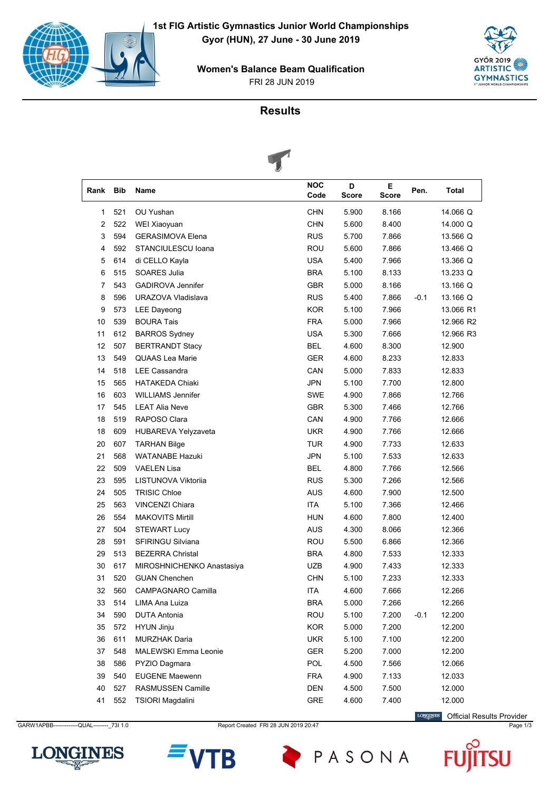

FRI 28 JUN 2019 **Women's Balance Beam Qualification**



# **Results**



|      |            | $\tilde{\phantom{a}}$       |                    |                   |             |        |           |
|------|------------|-----------------------------|--------------------|-------------------|-------------|--------|-----------|
| Rank | <b>Bib</b> | Name                        | <b>NOC</b><br>Code | D<br><b>Score</b> | E.<br>Score | Pen.   | Total     |
| 1    | 521        | OU Yushan                   | <b>CHN</b>         | 5.900             | 8.166       |        | 14.066 Q  |
| 2    | 522        | WEI Xiaoyuan                | <b>CHN</b>         | 5.600             | 8.400       |        | 14.000 Q  |
| 3    | 594        | <b>GERASIMOVA Elena</b>     | <b>RUS</b>         | 5.700             | 7.866       |        | 13.566 Q  |
| 4    | 592        | STANCIULESCU Ioana          | <b>ROU</b>         | 5.600             | 7.866       |        | 13.466 Q  |
| 5    | 614        | di CELLO Kayla              | <b>USA</b>         | 5.400             | 7.966       |        | 13.366 Q  |
| 6    | 515        | SOARES Julia                | <b>BRA</b>         | 5.100             | 8.133       |        | 13.233 Q  |
| 7    | 543        | <b>GADIROVA Jennifer</b>    | <b>GBR</b>         | 5.000             | 8.166       |        | 13.166 Q  |
| 8    | 596        | URAZOVA Vladislava          | <b>RUS</b>         | 5.400             | 7.866       | $-0.1$ | 13.166 Q  |
| 9    | 573        | <b>LEE Dayeong</b>          | <b>KOR</b>         | 5.100             | 7.966       |        | 13.066 R1 |
| 10   | 539        | <b>BOURA Tais</b>           | <b>FRA</b>         | 5.000             | 7.966       |        | 12.966 R2 |
| 11   | 612        | <b>BARROS Sydney</b>        | <b>USA</b>         | 5.300             | 7.666       |        | 12.966 R3 |
| 12   | 507        | <b>BERTRANDT Stacy</b>      | <b>BEL</b>         | 4.600             | 8.300       |        | 12.900    |
| 13   | 549        | <b>QUAAS Lea Marie</b>      | <b>GER</b>         | 4.600             | 8.233       |        | 12.833    |
| 14   | 518        | <b>LEE Cassandra</b>        | CAN                | 5.000             | 7.833       |        | 12.833    |
| 15   | 565        | <b>HATAKEDA Chiaki</b>      | <b>JPN</b>         | 5.100             | 7.700       |        | 12.800    |
| 16   | 603        | <b>WILLIAMS Jennifer</b>    | SWE                | 4.900             | 7.866       |        | 12.766    |
| 17   | 545        | <b>LEAT Alia Neve</b>       | <b>GBR</b>         | 5.300             | 7.466       |        | 12.766    |
| 18   | 519        | RAPOSO Clara                | CAN                | 4.900             | 7.766       |        | 12.666    |
| 18   | 609        | HUBAREVA Yelyzaveta         | <b>UKR</b>         | 4.900             | 7.766       |        | 12.666    |
| 20   | 607        | <b>TARHAN Bilge</b>         | TUR                | 4.900             | 7.733       |        | 12.633    |
| 21   | 568        | <b>WATANABE Hazuki</b>      | <b>JPN</b>         | 5.100             | 7.533       |        | 12.633    |
| 22   | 509        | <b>VAELEN Lisa</b>          | <b>BEL</b>         | 4.800             | 7.766       |        | 12.566    |
| 23   | 595        | LISTUNOVA Viktoriia         | <b>RUS</b>         | 5.300             | 7.266       |        | 12.566    |
| 24   | 505        | <b>TRISIC Chloe</b>         | <b>AUS</b>         | 4.600             | 7.900       |        | 12.500    |
| 25   | 563        | <b>VINCENZI Chiara</b>      | <b>ITA</b>         | 5.100             | 7.366       |        | 12.466    |
| 26   | 554        | <b>MAKOVITS Mirtill</b>     | HUN                | 4.600             | 7.800       |        | 12.400    |
| 27   | 504        | <b>STEWART Lucy</b>         | AUS                | 4.300             | 8.066       |        | 12.366    |
| 28   | 591        | <b>SFIRINGU Silviana</b>    | <b>ROU</b>         | 5.500             | 6.866       |        | 12.366    |
| 29   | 513        | <b>BEZERRA Christal</b>     | <b>BRA</b>         | 4.800             | 7.533       |        | 12.333    |
| 30   | 617        | MIROSHNICHENKO Anastasiya   | <b>UZB</b>         | 4.900             | 7.433       |        | 12.333    |
| 31   | 520        | <b>GUAN Chenchen</b>        | <b>CHN</b>         | 5.100             | 7.233       |        | 12.333    |
| 32   | 560        | CAMPAGNARO Camilla          | ITA                | 4.600             | 7.666       |        | 12.266    |
| 33   | 514        | LIMA Ana Luiza              | <b>BRA</b>         | 5.000             | 7.266       |        | 12.266    |
| 34   | 590        | <b>DUTA Antonia</b>         | <b>ROU</b>         | 5.100             | 7.200       | $-0.1$ | 12.200    |
| 35   | 572        | <b>HYUN Jinju</b>           | <b>KOR</b>         | 5.000             | 7.200       |        | 12.200    |
| 36   | 611        | <b>MURZHAK Daria</b>        | <b>UKR</b>         | 5.100             | 7.100       |        | 12.200    |
| 37   | 548        | <b>MALEWSKI Emma Leonie</b> | <b>GER</b>         | 5.200             | 7.000       |        | 12.200    |
| 38   | 586        | PYZIO Dagmara               | POL                | 4.500             | 7.566       |        | 12.066    |
| 39   | 540        | <b>EUGENE Maewenn</b>       | <b>FRA</b>         | 4.900             | 7.133       |        | 12.033    |
| 40   | 527        | RASMUSSEN Camille           | DEN                | 4.500             | 7.500       |        | 12.000    |
| 41   | 552        | TSIORI Magdalini            | GRE                | 4.600             | 7.400       |        | 12.000    |
|      |            |                             |                    |                   |             |        |           |

GARW1APBB------------QUAL---------\_73I 1.0 Report Created FRI 28 JUN 2019 20:47 Page 1/3 Page 1/3

LONGINES Official Results Provider





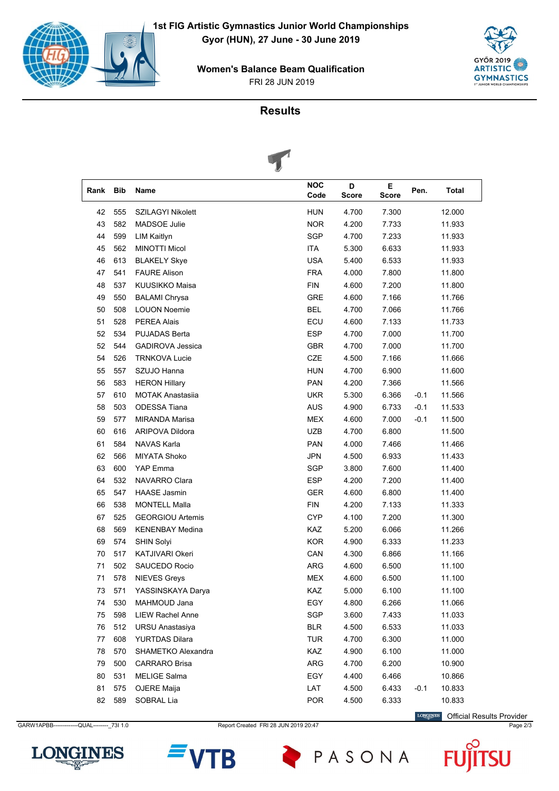

FRI 28 JUN 2019 **Women's Balance Beam Qualification**





|      |            | $\tilde{\phantom{a}}$   |                    |                   |            |        |        |
|------|------------|-------------------------|--------------------|-------------------|------------|--------|--------|
| Rank | <b>Bib</b> | Name                    | <b>NOC</b><br>Code | D<br><b>Score</b> | Е<br>Score | Pen.   | Total  |
| 42   | 555        | SZILAGYI Nikolett       | <b>HUN</b>         | 4.700             | 7.300      |        | 12.000 |
| 43   | 582        | <b>MADSOE Julie</b>     | <b>NOR</b>         | 4.200             | 7.733      |        | 11.933 |
| 44   | 599        | <b>LIM Kaitlyn</b>      | <b>SGP</b>         | 4.700             | 7.233      |        | 11.933 |
| 45   | 562        | <b>MINOTTI Micol</b>    | ITA                | 5.300             | 6.633      |        | 11.933 |
| 46   | 613        | <b>BLAKELY Skye</b>     | <b>USA</b>         | 5.400             | 6.533      |        | 11.933 |
| 47   | 541        | <b>FAURE Alison</b>     | <b>FRA</b>         | 4.000             | 7.800      |        | 11.800 |
| 48   | 537        | KUUSIKKO Maisa          | <b>FIN</b>         | 4.600             | 7.200      |        | 11.800 |
| 49   | 550        | <b>BALAMI Chrysa</b>    | GRE                | 4.600             | 7.166      |        | 11.766 |
| 50   | 508        | <b>LOUON Noemie</b>     | <b>BEL</b>         | 4.700             | 7.066      |        | 11.766 |
| 51   | 528        | <b>PEREA Alais</b>      | ECU                | 4.600             | 7.133      |        | 11.733 |
| 52   | 534        | <b>PUJADAS Berta</b>    | <b>ESP</b>         | 4.700             | 7.000      |        | 11.700 |
| 52   | 544        | <b>GADIROVA Jessica</b> | <b>GBR</b>         | 4.700             | 7.000      |        | 11.700 |
| 54   | 526        | <b>TRNKOVA Lucie</b>    | <b>CZE</b>         | 4.500             | 7.166      |        | 11.666 |
| 55   | 557        | SZUJO Hanna             | <b>HUN</b>         | 4.700             | 6.900      |        | 11.600 |
| 56   | 583        | <b>HERON Hillary</b>    | <b>PAN</b>         | 4.200             | 7.366      |        | 11.566 |
| 57   | 610        | <b>MOTAK Anastasija</b> | UKR.               | 5.300             | 6.366      | -0.1   | 11.566 |
| 58   | 503        | <b>ODESSA Tiana</b>     | <b>AUS</b>         | 4.900             | 6.733      | $-0.1$ | 11.533 |
| 59   | 577        | <b>MIRANDA Marisa</b>   | <b>MEX</b>         | 4.600             | 7.000      | $-0.1$ | 11.500 |
| 60   | 616        | <b>ARIPOVA Dildora</b>  | <b>UZB</b>         | 4.700             | 6.800      |        | 11.500 |
| 61   | 584        | NAVAS Karla             | <b>PAN</b>         | 4.000             | 7.466      |        | 11.466 |
| 62   | 566        | <b>MIYATA Shoko</b>     | <b>JPN</b>         | 4.500             | 6.933      |        | 11.433 |
| 63   | 600        | <b>YAP Emma</b>         | <b>SGP</b>         | 3.800             | 7.600      |        | 11.400 |
| 64   | 532        | NAVARRO Clara           | <b>ESP</b>         | 4.200             | 7.200      |        | 11.400 |
| 65   | 547        | <b>HAASE Jasmin</b>     | <b>GER</b>         | 4.600             | 6.800      |        | 11.400 |
| 66   | 538        | <b>MONTELL Malla</b>    | <b>FIN</b>         | 4.200             | 7.133      |        | 11.333 |
| 67   | 525        | <b>GEORGIOU Artemis</b> | <b>CYP</b>         | 4.100             | 7.200      |        | 11.300 |
| 68   | 569        | <b>KENENBAY Medina</b>  | <b>KAZ</b>         | 5.200             | 6.066      |        | 11.266 |
| 69   | 574        | <b>SHIN Solyi</b>       | <b>KOR</b>         | 4.900             | 6.333      |        | 11.233 |
| 70   | 517        | <b>KATJIVARI Okeri</b>  | CAN                | 4.300             | 6.866      |        | 11.166 |
| 71   | 502        | <b>SAUCEDO Rocio</b>    | ARG                | 4.600             | 6.500      |        | 11.100 |
| 71   | 578        | <b>NIEVES Greys</b>     | <b>MEX</b>         | 4.600             | 6.500      |        | 11.100 |
| 73   | 571        | YASSINSKAYA Darya       | KAZ                | 5.000             | 6.100      |        | 11.100 |
| 74   | 530        | MAHMOUD Jana            | EGY                | 4.800             | 6.266      |        | 11.066 |
| 75   | 598        | LIEW Rachel Anne        | SGP                | 3.600             | 7.433      |        | 11.033 |
| 76   | 512        | <b>URSU Anastasiya</b>  | <b>BLR</b>         | 4.500             | 6.533      |        | 11.033 |
| 77   | 608        | <b>YURTDAS Dilara</b>   | <b>TUR</b>         | 4.700             | 6.300      |        | 11.000 |
| 78   | 570        | SHAMETKO Alexandra      | KAZ                | 4.900             | 6.100      |        | 11.000 |
| 79   | 500        | <b>CARRARO Brisa</b>    | ARG                | 4.700             | 6.200      |        | 10.900 |
| 80   | 531        | <b>MELIGE Salma</b>     | EGY                | 4.400             | 6.466      |        | 10.866 |
| 81   | 575        | OJERE Maija             | LAT                | 4.500             | 6.433      | $-0.1$ | 10.833 |
| 82   | 589        | SOBRAL Lia              | <b>POR</b>         | 4.500             | 6.333      |        | 10.833 |

GARW1APBB------------QUAL---------\_73I 1.0 Report Created FRI 28 JUN 2019 20:47 Page 2/3

LONGINES Official Results Provider





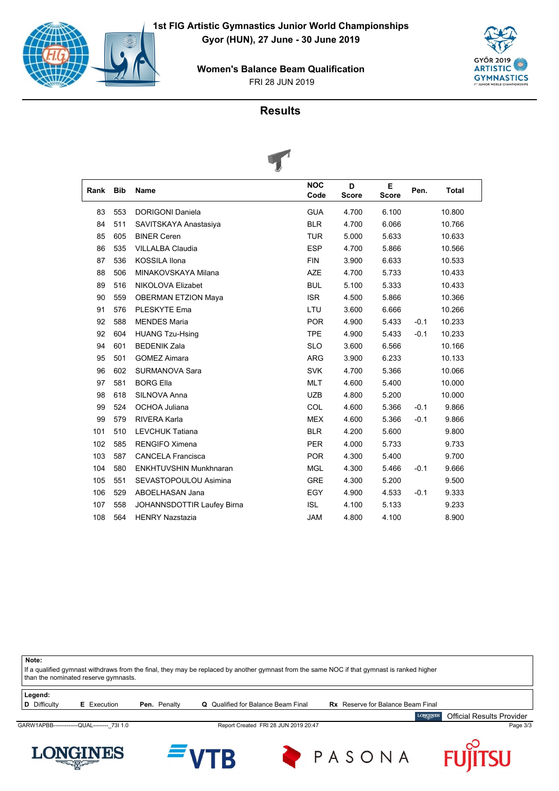







| Rank | <b>Bib</b> | Name                          | <b>NOC</b><br>Code | D<br><b>Score</b> | E.<br><b>Score</b> | Pen.   | <b>Total</b> |
|------|------------|-------------------------------|--------------------|-------------------|--------------------|--------|--------------|
| 83   | 553        | <b>DORIGONI Daniela</b>       | <b>GUA</b>         | 4.700             | 6.100              |        | 10.800       |
| 84   | 511        | SAVITSKAYA Anastasiya         | <b>BLR</b>         | 4.700             | 6.066              |        | 10.766       |
| 85   | 605        | <b>BINER Ceren</b>            | <b>TUR</b>         | 5.000             | 5.633              |        | 10.633       |
| 86   | 535        | <b>VILLALBA Claudia</b>       | <b>ESP</b>         | 4.700             | 5.866              |        | 10.566       |
| 87   | 536        | <b>KOSSILA Ilona</b>          | <b>FIN</b>         | 3.900             | 6.633              |        | 10.533       |
| 88   | 506        | MINAKOVSKAYA Milana           | <b>AZE</b>         | 4.700             | 5.733              |        | 10.433       |
| 89   | 516        | NIKOLOVA Elizabet             | <b>BUL</b>         | 5.100             | 5.333              |        | 10.433       |
| 90   | 559        | <b>OBERMAN ETZION Maya</b>    | <b>ISR</b>         | 4.500             | 5.866              |        | 10.366       |
| 91   | 576        | <b>PLESKYTE Ema</b>           | LTU                | 3.600             | 6.666              |        | 10.266       |
| 92   | 588        | <b>MENDES Maria</b>           | <b>POR</b>         | 4.900             | 5.433              | $-0.1$ | 10.233       |
| 92   | 604        | <b>HUANG Tzu-Hsing</b>        | <b>TPE</b>         | 4.900             | 5.433              | $-0.1$ | 10.233       |
| 94   | 601        | <b>BEDENIK Zala</b>           | <b>SLO</b>         | 3.600             | 6.566              |        | 10.166       |
| 95   | 501        | <b>GOMEZ Aimara</b>           | <b>ARG</b>         | 3.900             | 6.233              |        | 10.133       |
| 96   | 602        | <b>SURMANOVA Sara</b>         | <b>SVK</b>         | 4.700             | 5.366              |        | 10.066       |
| 97   | 581        | <b>BORG Ella</b>              | <b>MLT</b>         | 4.600             | 5.400              |        | 10.000       |
| 98   | 618        | SILNOVA Anna                  | <b>UZB</b>         | 4.800             | 5.200              |        | 10.000       |
| 99   | 524        | OCHOA Juliana                 | COL                | 4.600             | 5.366              | $-0.1$ | 9.866        |
| 99   | 579        | <b>RIVERA Karla</b>           | <b>MEX</b>         | 4.600             | 5.366              | $-0.1$ | 9.866        |
| 101  | 510        | <b>LEVCHUK Tatiana</b>        | <b>BLR</b>         | 4.200             | 5.600              |        | 9.800        |
| 102  | 585        | <b>RENGIFO Ximena</b>         | <b>PER</b>         | 4.000             | 5.733              |        | 9.733        |
| 103  | 587        | <b>CANCELA Francisca</b>      | <b>POR</b>         | 4.300             | 5.400              |        | 9.700        |
| 104  | 580        | <b>ENKHTUVSHIN Munkhnaran</b> | <b>MGL</b>         | 4.300             | 5.466              | $-0.1$ | 9.666        |
| 105  | 551        | SEVASTOPOULOU Asimina         | <b>GRE</b>         | 4.300             | 5.200              |        | 9.500        |
| 106  | 529        | ABOELHASAN Jana               | EGY                | 4.900             | 4.533              | $-0.1$ | 9.333        |
| 107  | 558        | JOHANNSDOTTIR Laufey Birna    | <b>ISL</b>         | 4.100             | 5.133              |        | 9.233        |
| 108  | 564        | <b>HENRY Nazstazia</b>        | <b>JAM</b>         | 4.800             | 4.100              |        | 8.900        |
|      |            |                               |                    |                   |                    |        |              |

**Note:** If a qualified gymnast withdraws from the final, they may be replaced by another gymnast from the same NOC if that gymnast is ranked higher than the nominated reserve gymnasts. **Legend:**<br>**D** Difficulty **E** Execution **Pen.** Penalty **Q** Qualified for Balance Beam Final **Rx** Reserve for Balance Beam Final **LONGINES** Official Results Provider GARW1APBB------------QUAL---------\_73I 1.0 Report Created FRI 28 JUN 2019 20:47 Page 3/3 **LONGINES** PASONA Ŭ B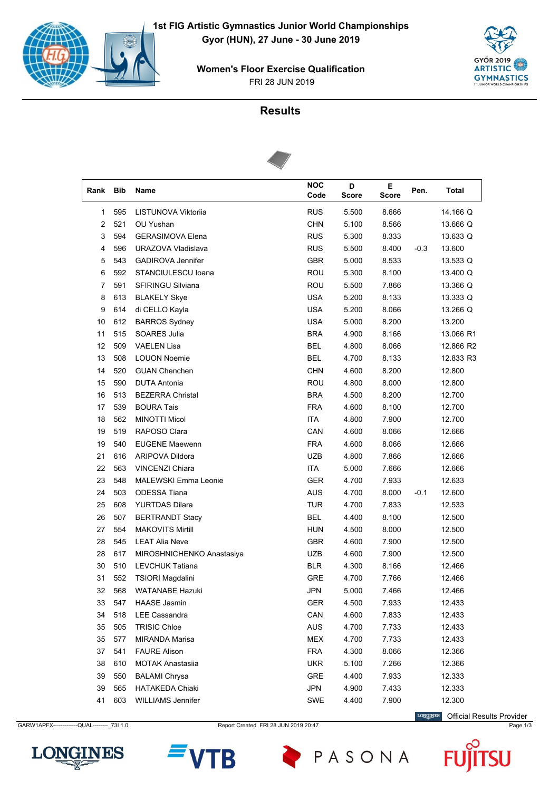

FRI 28 JUN 2019 **Women's Floor Exercise Qualification**



# **Results**



| Rank | <b>Bib</b> | Name                        | <b>NOC</b><br>Code | D<br><b>Score</b> | E.<br><b>Score</b> | Pen.   | <b>Total</b> |
|------|------------|-----------------------------|--------------------|-------------------|--------------------|--------|--------------|
| 1    | 595        | LISTUNOVA Viktorija         | <b>RUS</b>         | 5.500             | 8.666              |        | 14.166 Q     |
| 2    | 521        | OU Yushan                   | <b>CHN</b>         | 5.100             | 8.566              |        | 13.666 Q     |
| 3    | 594        | <b>GERASIMOVA Elena</b>     | <b>RUS</b>         | 5.300             | 8.333              |        | 13.633 Q     |
| 4    | 596        | URAZOVA Vladislava          | <b>RUS</b>         | 5.500             | 8.400              | $-0.3$ | 13.600       |
| 5    | 543        | <b>GADIROVA Jennifer</b>    | <b>GBR</b>         | 5.000             | 8.533              |        | 13.533 Q     |
| 6    | 592        | STANCIULESCU Ioana          | <b>ROU</b>         | 5.300             | 8.100              |        | 13.400 Q     |
| 7    | 591        | <b>SFIRINGU Silviana</b>    | <b>ROU</b>         | 5.500             | 7.866              |        | 13.366 Q     |
| 8    | 613        | <b>BLAKELY Skye</b>         | <b>USA</b>         | 5.200             | 8.133              |        | 13.333 Q     |
| 9    | 614        | di CELLO Kayla              | <b>USA</b>         | 5.200             | 8.066              |        | 13.266 Q     |
| 10   | 612        | <b>BARROS Sydney</b>        | <b>USA</b>         | 5.000             | 8.200              |        | 13.200       |
| 11   | 515        | SOARES Julia                | <b>BRA</b>         | 4.900             | 8.166              |        | 13.066 R1    |
| 12   | 509        | <b>VAELEN Lisa</b>          | <b>BEL</b>         | 4.800             | 8.066              |        | 12.866 R2    |
| 13   | 508        | <b>LOUON Noemie</b>         | <b>BEL</b>         | 4.700             | 8.133              |        | 12.833 R3    |
| 14   | 520        | <b>GUAN Chenchen</b>        | <b>CHN</b>         | 4.600             | 8.200              |        | 12.800       |
| 15   | 590        | <b>DUTA Antonia</b>         | ROU                | 4.800             | 8.000              |        | 12.800       |
| 16   | 513        | <b>BEZERRA Christal</b>     | <b>BRA</b>         | 4.500             | 8.200              |        | 12.700       |
| 17   | 539        | <b>BOURA Tais</b>           | <b>FRA</b>         | 4.600             | 8.100              |        | 12.700       |
| 18   | 562        | <b>MINOTTI Micol</b>        | <b>ITA</b>         | 4.800             | 7.900              |        | 12.700       |
| 19   | 519        | RAPOSO Clara                | CAN                | 4.600             | 8.066              |        | 12.666       |
| 19   | 540        | <b>EUGENE Maewenn</b>       | <b>FRA</b>         | 4.600             | 8.066              |        | 12.666       |
| 21   | 616        | <b>ARIPOVA Dildora</b>      | UZB                | 4.800             | 7.866              |        | 12.666       |
| 22   | 563        | <b>VINCENZI Chiara</b>      | <b>ITA</b>         | 5.000             | 7.666              |        | 12.666       |
| 23   | 548        | <b>MALEWSKI Emma Leonie</b> | GER                | 4.700             | 7.933              |        | 12.633       |
| 24   | 503        | <b>ODESSA Tiana</b>         | <b>AUS</b>         | 4.700             | 8.000              | $-0.1$ | 12.600       |
| 25   | 608        | <b>YURTDAS Dilara</b>       | <b>TUR</b>         | 4.700             | 7.833              |        | 12.533       |
| 26   | 507        | <b>BERTRANDT Stacy</b>      | <b>BEL</b>         | 4.400             | 8.100              |        | 12.500       |
| 27   | 554        | <b>MAKOVITS Mirtill</b>     | <b>HUN</b>         | 4.500             | 8.000              |        | 12.500       |
| 28   | 545        | <b>LEAT Alia Neve</b>       | <b>GBR</b>         | 4.600             | 7.900              |        | 12.500       |
| 28   | 617        | MIROSHNICHENKO Anastasiya   | UZB                | 4.600             | 7.900              |        | 12.500       |
| 30   | 510        | <b>LEVCHUK Tatiana</b>      | <b>BLR</b>         | 4.300             | 8.166              |        | 12.466       |
| 31   | 552        | TSIORI Magdalini            | <b>GRE</b>         | 4.700             | 7.766              |        | 12.466       |
| 32   | 568        | <b>WATANABE Hazuki</b>      | JPN                | 5.000             | 7.466              |        | 12.466       |
| 33   | 547        | <b>HAASE Jasmin</b>         | GER                | 4.500             | 7.933              |        | 12.433       |
| 34   | 518        | LEE Cassandra               | CAN                | 4.600             | 7.833              |        | 12.433       |
| 35   | 505        | <b>TRISIC Chloe</b>         | <b>AUS</b>         | 4.700             | 7.733              |        | 12.433       |
| 35   | 577        | MIRANDA Marisa              | MEX                | 4.700             | 7.733              |        | 12.433       |
| 37   | 541        | <b>FAURE Alison</b>         | <b>FRA</b>         | 4.300             | 8.066              |        | 12.366       |
| 38   | 610        | <b>MOTAK Anastasiia</b>     | UKR                | 5.100             | 7.266              |        | 12.366       |
| 39   | 550        | <b>BALAMI Chrysa</b>        | GRE                | 4.400             | 7.933              |        | 12.333       |
| 39   | 565        | <b>HATAKEDA Chiaki</b>      | <b>JPN</b>         | 4.900             | 7.433              |        | 12.333       |
| 41   | 603        | <b>WILLIAMS Jennifer</b>    | <b>SWE</b>         | 4.400             | 7.900              |        | 12.300       |

GARW1APFX------------QUAL---------\_73I 1.0 Report Created FRI 28 JUN 2019 20:47 Page 1/3 Page 1/3

LONGINES Official Results Provider





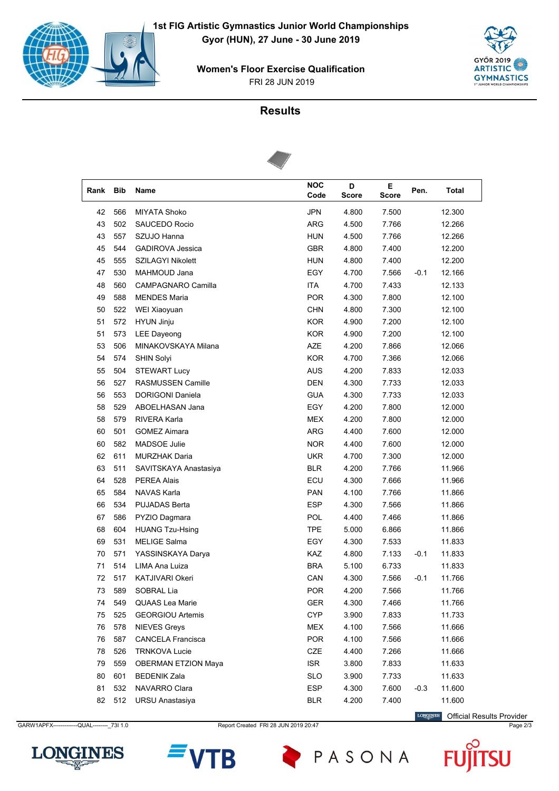

FRI 28 JUN 2019 **Women's Floor Exercise Qualification**



# **Results**



| Rank | <b>Bib</b> | Name                       | <b>NOC</b><br>Code | D<br><b>Score</b> | Е<br><b>Score</b> | Pen.   | Total  |
|------|------------|----------------------------|--------------------|-------------------|-------------------|--------|--------|
| 42   | 566        | <b>MIYATA Shoko</b>        | <b>JPN</b>         | 4.800             | 7.500             |        | 12.300 |
| 43   | 502        | <b>SAUCEDO Rocio</b>       | <b>ARG</b>         | 4.500             | 7.766             |        | 12.266 |
| 43   | 557        | SZUJO Hanna                | <b>HUN</b>         | 4.500             | 7.766             |        | 12.266 |
| 45   | 544        | <b>GADIROVA Jessica</b>    | <b>GBR</b>         | 4.800             | 7.400             |        | 12.200 |
| 45   | 555        | <b>SZILAGYI Nikolett</b>   | <b>HUN</b>         | 4.800             | 7.400             |        | 12.200 |
| 47   | 530        | MAHMOUD Jana               | EGY                | 4.700             | 7.566             | $-0.1$ | 12.166 |
| 48   | 560        | CAMPAGNARO Camilla         | <b>ITA</b>         | 4.700             | 7.433             |        | 12.133 |
| 49   | 588        | <b>MENDES Maria</b>        | <b>POR</b>         | 4.300             | 7.800             |        | 12.100 |
| 50   | 522        | WEI Xiaoyuan               | <b>CHN</b>         | 4.800             | 7.300             |        | 12.100 |
| 51   | 572        | <b>HYUN Jinju</b>          | <b>KOR</b>         | 4.900             | 7.200             |        | 12.100 |
| 51   | 573        | <b>LEE Dayeong</b>         | <b>KOR</b>         | 4.900             | 7.200             |        | 12.100 |
| 53   | 506        | MINAKOVSKAYA Milana        | <b>AZE</b>         | 4.200             | 7.866             |        | 12.066 |
| 54   | 574        | <b>SHIN Solyi</b>          | <b>KOR</b>         | 4.700             | 7.366             |        | 12.066 |
| 55   | 504        | <b>STEWART Lucy</b>        | <b>AUS</b>         | 4.200             | 7.833             |        | 12.033 |
| 56   | 527        | <b>RASMUSSEN Camille</b>   | <b>DEN</b>         | 4.300             | 7.733             |        | 12.033 |
| 56   | 553        | <b>DORIGONI Daniela</b>    | <b>GUA</b>         | 4.300             | 7.733             |        | 12.033 |
| 58   | 529        | ABOELHASAN Jana            | EGY                | 4.200             | 7.800             |        | 12.000 |
| 58   | 579        | <b>RIVERA Karla</b>        | MEX                | 4.200             | 7.800             |        | 12.000 |
| 60   | 501        | <b>GOMEZ Aimara</b>        | <b>ARG</b>         | 4.400             | 7.600             |        | 12.000 |
| 60   | 582        | <b>MADSOE Julie</b>        | <b>NOR</b>         | 4.400             | 7.600             |        | 12.000 |
| 62   | 611        | <b>MURZHAK Daria</b>       | <b>UKR</b>         | 4.700             | 7.300             |        | 12.000 |
| 63   | 511        | SAVITSKAYA Anastasiya      | <b>BLR</b>         | 4.200             | 7.766             |        | 11.966 |
| 64   | 528        | <b>PEREA Alais</b>         | ECU                | 4.300             | 7.666             |        | 11.966 |
| 65   | 584        | <b>NAVAS Karla</b>         | <b>PAN</b>         | 4.100             | 7.766             |        | 11.866 |
| 66   | 534        | <b>PUJADAS Berta</b>       | <b>ESP</b>         | 4.300             | 7.566             |        | 11.866 |
| 67   | 586        | PYZIO Dagmara              | POL                | 4.400             | 7.466             |        | 11.866 |
| 68   | 604        | <b>HUANG Tzu-Hsing</b>     | <b>TPE</b>         | 5.000             | 6.866             |        | 11.866 |
| 69   | 531        | <b>MELIGE Salma</b>        | EGY                | 4.300             | 7.533             |        | 11.833 |
| 70   | 571        | YASSINSKAYA Darya          | <b>KAZ</b>         | 4.800             | 7.133             | $-0.1$ | 11.833 |
| 71   | 514        | LIMA Ana Luiza             | <b>BRA</b>         | 5.100             | 6.733             |        | 11.833 |
| 72   | 517        | <b>KATJIVARI Okeri</b>     | CAN                | 4.300             | 7.566             | $-0.1$ | 11.766 |
| 73   | 589        | SOBRAL Lia                 | <b>POR</b>         | 4.200             | 7.566             |        | 11.766 |
| 74   | 549        | <b>QUAAS Lea Marie</b>     | GER                | 4.300             | 7.466             |        | 11.766 |
| 75   | 525        | <b>GEORGIOU Artemis</b>    | <b>CYP</b>         | 3.900             | 7.833             |        | 11.733 |
| 76   | 578        | <b>NIEVES Greys</b>        | <b>MEX</b>         | 4.100             | 7.566             |        | 11.666 |
| 76   | 587        | <b>CANCELA Francisca</b>   | <b>POR</b>         | 4.100             | 7.566             |        | 11.666 |
| 78   | 526        | <b>TRNKOVA Lucie</b>       | CZE                | 4.400             | 7.266             |        | 11.666 |
| 79   | 559        | <b>OBERMAN ETZION Maya</b> | <b>ISR</b>         | 3.800             | 7.833             |        | 11.633 |
| 80   | 601        | <b>BEDENIK Zala</b>        | <b>SLO</b>         | 3.900             | 7.733             |        | 11.633 |
| 81   | 532        | NAVARRO Clara              | <b>ESP</b>         | 4.300             | 7.600             | $-0.3$ | 11.600 |
| 82   | 512        | <b>URSU Anastasiya</b>     | <b>BLR</b>         | 4.200             | 7.400             |        | 11.600 |

GARW1APFX------------QUAL---------\_73I 1.0 Report Created FRI 28 JUN 2019 20:47 Page 2/3

LONGINES Official Results Provider